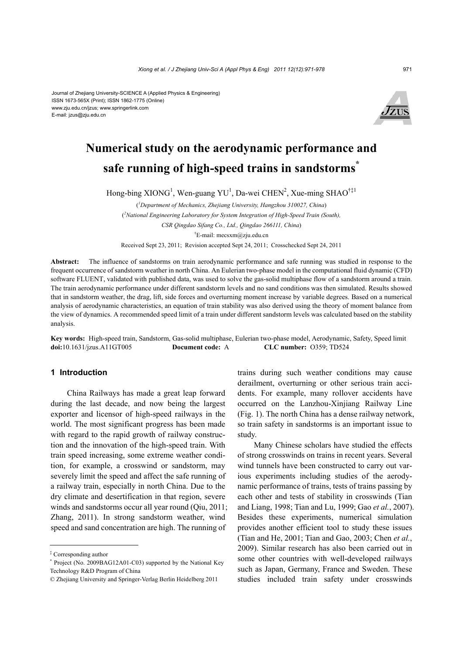Journal of Zhejiang University-SCIENCE A (Applied Physics & Engineering) ISSN 1673-565X (Print); ISSN 1862-1775 (Online) www.zju.edu.cn/jzus; www.springerlink.com E-mail: jzus@zju.edu.cn



# **Numerical study on the aerodynamic performance and safe running of high-speed trains in sandstorms\***

Hong-bing XIONG<sup>1</sup>, Wen-guang YU<sup>1</sup>, Da-wei CHEN<sup>2</sup>, Xue-ming SHAO<sup>†‡1</sup>

( *1 Department of Mechanics, Zhejiang University, Hangzhou 310027, China*) ( *2 National Engineering Laboratory for System Integration of High-Speed Train (South), CSR Qingdao Sifang Co., Ltd., Qingdao 266111, China*) † E-mail: mecsxm@zju.edu.cn

Received Sept 23, 2011; Revision accepted Sept 24, 2011; Crosschecked Sept 24, 2011

**Abstract:** The influence of sandstorms on train aerodynamic performance and safe running was studied in response to the frequent occurrence of sandstorm weather in north China. An Eulerian two-phase model in the computational fluid dynamic (CFD) software FLUENT, validated with published data, was used to solve the gas-solid multiphase flow of a sandstorm around a train. The train aerodynamic performance under different sandstorm levels and no sand conditions was then simulated. Results showed that in sandstorm weather, the drag, lift, side forces and overturning moment increase by variable degrees. Based on a numerical analysis of aerodynamic characteristics, an equation of train stability was also derived using the theory of moment balance from the view of dynamics. A recommended speed limit of a train under different sandstorm levels was calculated based on the stability analysis.

**Key words:** High-speed train, Sandstorm, Gas-solid multiphase, Eulerian two-phase model, Aerodynamic, Safety, Speed limit **doi:**10.1631/jzus.A11GT005 **Document code:** A **CLC number:** O359; TD524

# **1 Introduction**

China Railways has made a great leap forward during the last decade, and now being the largest exporter and licensor of high-speed railways in the world. The most significant progress has been made with regard to the rapid growth of railway construction and the innovation of the high-speed train. With train speed increasing, some extreme weather condition, for example, a crosswind or sandstorm, may severely limit the speed and affect the safe running of a railway train, especially in north China. Due to the dry climate and desertification in that region, severe winds and sandstorms occur all year round (Oiu, 2011; Zhang, 2011). In strong sandstorm weather, wind speed and sand concentration are high. The running of

trains during such weather conditions may cause derailment, overturning or other serious train accidents. For example, many rollover accidents have occurred on the Lanzhou-Xinjiang Railway Line (Fig. 1). The north China has a dense railway network, so train safety in sandstorms is an important issue to study.

Many Chinese scholars have studied the effects of strong crosswinds on trains in recent years. Several wind tunnels have been constructed to carry out various experiments including studies of the aerodynamic performance of trains, tests of trains passing by each other and tests of stability in crosswinds (Tian and Liang, 1998; Tian and Lu, 1999; Gao *et al.*, 2007). Besides these experiments, numerical simulation provides another efficient tool to study these issues (Tian and He, 2001; Tian and Gao, 2003; Chen *et al.*, 2009). Similar research has also been carried out in some other countries with well-developed railways such as Japan, Germany, France and Sweden. These studies included train safety under crosswinds

<sup>‡</sup> Corresponding author

<sup>\*</sup> Project (No. 2009BAG12A01-C03) supported by the National Key Technology R&D Program of China

<sup>©</sup> Zhejiang University and Springer-Verlag Berlin Heidelberg 2011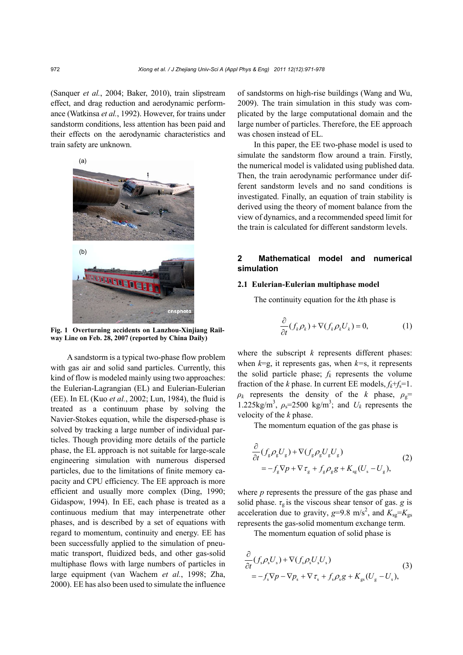(Sanquer *et al.*, 2004; Baker, 2010), train slipstream effect, and drag reduction and aerodynamic performance (Watkinsa *et al.*, 1992). However, for trains under sandstorm conditions, less attention has been paid and their effects on the aerodynamic characteristics and train safety are unknown.



**Fig. 1 Overturning accidents on Lanzhou-Xinjiang Railway Line on Feb. 28, 2007 (reported by China Daily)**

A sandstorm is a typical two-phase flow problem with gas air and solid sand particles. Currently, this kind of flow is modeled mainly using two approaches: the Eulerian-Lagrangian (EL) and Eulerian-Eulerian (EE). In EL (Kuo *et al.*, 2002; Lun, 1984), the fluid is treated as a continuum phase by solving the Navier-Stokes equation, while the dispersed-phase is solved by tracking a large number of individual particles. Though providing more details of the particle phase, the EL approach is not suitable for large-scale engineering simulation with numerous dispersed particles, due to the limitations of finite memory capacity and CPU efficiency. The EE approach is more efficient and usually more complex (Ding, 1990; Gidaspow, 1994). In EE, each phase is treated as a continuous medium that may interpenetrate other phases, and is described by a set of equations with regard to momentum, continuity and energy. EE has been successfully applied to the simulation of pneumatic transport, fluidized beds, and other gas-solid multiphase flows with large numbers of particles in large equipment (van Wachem *et al.*, 1998; Zha, 2000). EE has also been used to simulate the influence of sandstorms on high-rise buildings (Wang and Wu, 2009). The train simulation in this study was complicated by the large computational domain and the large number of particles. Therefore, the EE approach was chosen instead of EL.

In this paper, the EE two-phase model is used to simulate the sandstorm flow around a train. Firstly, the numerical model is validated using published data. Then, the train aerodynamic performance under different sandstorm levels and no sand conditions is investigated. Finally, an equation of train stability is derived using the theory of moment balance from the view of dynamics, and a recommended speed limit for the train is calculated for different sandstorm levels.

# **2 Mathematical model and numerical simulation**

# **2.1 Eulerian-Eulerian multiphase model**

The continuity equation for the *k*th phase is

$$
\frac{\partial}{\partial t}(f_k \rho_k) + \nabla (f_k \rho_k U_k) = 0, \tag{1}
$$

where the subscript *k* represents different phases: when  $k=g$ , it represents gas, when  $k=s$ , it represents the solid particle phase;  $f_k$  represents the volume fraction of the *k* phase. In current EE models,  $f_k + f_s = 1$ .  $\rho_k$  represents the density of the *k* phase,  $\rho_g$ = 1.225kg/m<sup>3</sup>,  $\rho_s$ =2500 kg/m<sup>3</sup>; and  $U_k$  represents the velocity of the *k* phase.

The momentum equation of the gas phase is

$$
\frac{\partial}{\partial t} (f_{g}\rho_{g}U_{g}) + \nabla (f_{g}\rho_{g}U_{g}U_{g})
$$
\n
$$
= -f_{g}\nabla p + \nabla \tau_{g} + f_{g}\rho_{g}g + K_{sg}(U_{s} - U_{g}),
$$
\n(2)

where *p* represents the pressure of the gas phase and solid phase.  $\tau_g$  is the viscous shear tensor of gas. *g* is acceleration due to gravity,  $g=9.8 \text{ m/s}^2$ , and  $K_{sg}=K_{gs}$ represents the gas-solid momentum exchange term.

The momentum equation of solid phase is

$$
\frac{\partial}{\partial t}(f_s \rho_s U_s) + \nabla(f_s \rho_s U_s U_s) \n= -f_s \nabla p - \nabla p_s + \nabla \tau_s + f_s \rho_s g + K_{gs}(U_g - U_s),
$$
\n(3)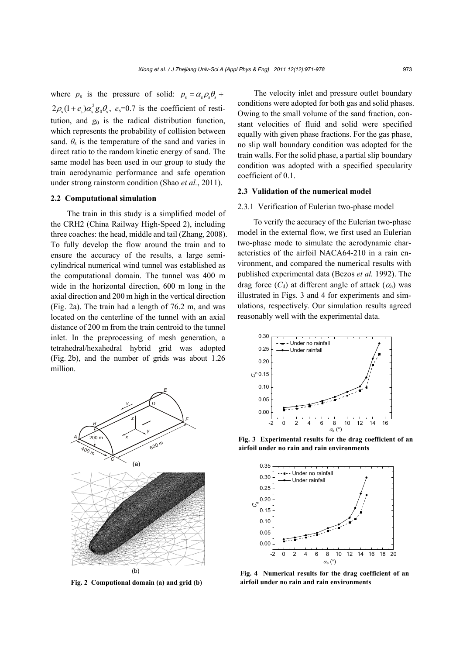where  $p_s$  is the pressure of solid:  $p_s = \alpha_s \rho_s \theta_s +$  $2\rho_s(1+e_s)\alpha_s^2 g_0\theta_s$ ,  $e_s=0.7$  is the coefficient of restitution, and  $g_0$  is the radical distribution function, which represents the probability of collision between sand.  $\theta_s$  is the temperature of the sand and varies in direct ratio to the random kinetic energy of sand. The same model has been used in our group to study the train aerodynamic performance and safe operation under strong rainstorm condition (Shao *et al.*, 2011).

## **2.2 Computational simulation**

The train in this study is a simplified model of the CRH2 (China Railway High-Speed 2), including three coaches: the head, middle and tail (Zhang, 2008). To fully develop the flow around the train and to ensure the accuracy of the results, a large semicylindrical numerical wind tunnel was established as the computational domain. The tunnel was 400 m wide in the horizontal direction, 600 m long in the axial direction and 200 m high in the vertical direction (Fig. 2a). The train had a length of 76.2 m, and was located on the centerline of the tunnel with an axial distance of 200 m from the train centroid to the tunnel inlet. In the preprocessing of mesh generation, a tetrahedral/hexahedral hybrid grid was adopted (Fig. 2b), and the number of grids was about 1.26 million.



**Fig. 2 Computional domain (a) and grid (b)** 

The velocity inlet and pressure outlet boundary conditions were adopted for both gas and solid phases. Owing to the small volume of the sand fraction, constant velocities of fluid and solid were specified equally with given phase fractions. For the gas phase, no slip wall boundary condition was adopted for the train walls. For the solid phase, a partial slip boundary condition was adopted with a specified specularity coefficient of 0.1.

#### **2.3 Validation of the numerical model**

## 2.3.1 Verification of Eulerian two-phase model

To verify the accuracy of the Eulerian two-phase model in the external flow, we first used an Eulerian two-phase mode to simulate the aerodynamic characteristics of the airfoil NACA64-210 in a rain environment, and compared the numerical results with published experimental data (Bezos *et al.* 1992). The drag force  $(C_d)$  at different angle of attack  $(\alpha_a)$  was illustrated in Figs. 3 and 4 for experiments and simulations, respectively. Our simulation results agreed reasonably well with the experimental data.



**Fig. 3 Experimental results for the drag coefficient of an airfoil under no rain and rain environments**



**Fig. 4 Numerical results for the drag coefficient of an airfoil under no rain and rain environments**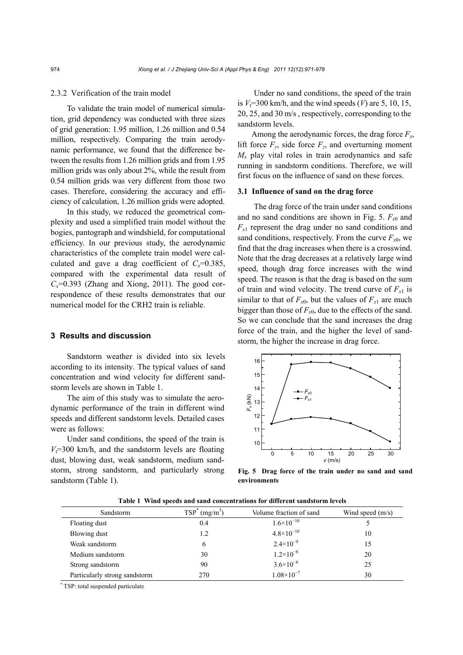## 2.3.2 Verification of the train model

To validate the train model of numerical simulation, grid dependency was conducted with three sizes of grid generation: 1.95 million, 1.26 million and 0.54 million, respectively. Comparing the train aerodynamic performance, we found that the difference between the results from 1.26 million grids and from 1.95 million grids was only about 2%, while the result from 0.54 million grids was very different from those two cases. Therefore, considering the accuracy and efficiency of calculation, 1.26 million grids were adopted.

In this study, we reduced the geometrical complexity and used a simplified train model without the bogies, pantograph and windshield, for computational efficiency. In our previous study, the aerodynamic characteristics of the complete train model were calculated and gave a drag coefficient of  $C_x=0.385$ , compared with the experimental data result of  $C_x=0.393$  (Zhang and Xiong, 2011). The good correspondence of these results demonstrates that our numerical model for the CRH2 train is reliable.

## **3 Results and discussion**

Sandstorm weather is divided into six levels according to its intensity. The typical values of sand concentration and wind velocity for different sandstorm levels are shown in Table 1.

The aim of this study was to simulate the aerodynamic performance of the train in different wind speeds and different sandstorm levels. Detailed cases were as follows:

Under sand conditions, the speed of the train is  $V_t$ =300 km/h, and the sandstorm levels are floating dust, blowing dust, weak sandstorm, medium sandstorm, strong sandstorm, and particularly strong sandstorm (Table 1).

Under no sand conditions, the speed of the train is  $V_t$ =300 km/h, and the wind speeds (*V*) are 5, 10, 15, 20, 25, and 30 m/s , respectively, corresponding to the sandstorm levels.

Among the aerodynamic forces, the drag force  $F_x$ , lift force  $F_y$ , side force  $F_z$ , and overturning moment  $M_x$  play vital roles in train aerodynamics and safe running in sandstorm conditions. Therefore, we will first focus on the influence of sand on these forces.

## **3.1 Influence of sand on the drag force**

The drag force of the train under sand conditions and no sand conditions are shown in Fig. 5.  $F_{x0}$  and  $F_{x1}$  represent the drag under no sand conditions and sand conditions, respectively. From the curve  $F_{x0}$ , we find that the drag increases when there is a crosswind. Note that the drag decreases at a relatively large wind speed, though drag force increases with the wind speed. The reason is that the drag is based on the sum of train and wind velocity. The trend curve of  $F_{x1}$  is similar to that of  $F_{x0}$ , but the values of  $F_{x1}$  are much bigger than those of  $F_{x0}$ , due to the effects of the sand. So we can conclude that the sand increases the drag force of the train, and the higher the level of sandstorm, the higher the increase in drag force.



**Fig. 5 Drag force of the train under no sand and sand environments**

| Sandstorm                     | $\text{TSP}^*$<br>(mg/m <sup>3</sup> ) | Volume fraction of sand | Wind speed $(m/s)$ |
|-------------------------------|----------------------------------------|-------------------------|--------------------|
| Floating dust                 | 0.4                                    | $1.6\times10^{-10}$     |                    |
| Blowing dust                  | 1.2                                    | $4.8 \times 10^{-10}$   | 10                 |
| Weak sandstorm                | 6                                      | $2.4 \times 10^{-9}$    | 15                 |
| Medium sandstorm              | 30                                     | $1.2 \times 10^{-8}$    | 20                 |
| Strong sandstorm              | 90                                     | $3.6 \times 10^{-8}$    | 25                 |
| Particularly strong sandstorm | 270                                    | $1.08 \times 10^{-7}$   | 30                 |

**Table 1 Wind speeds and sand concentrations for different sandstorm levels** 

\* TSP: total suspended particulate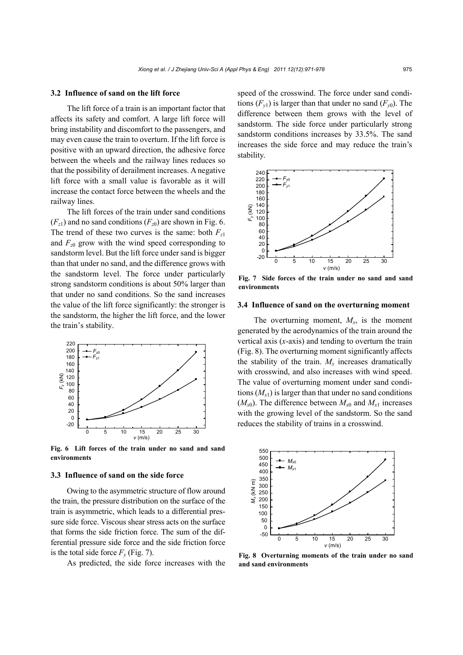## **3.2 Influence of sand on the lift force**

The lift force of a train is an important factor that affects its safety and comfort. A large lift force will bring instability and discomfort to the passengers, and may even cause the train to overturn. If the lift force is positive with an upward direction, the adhesive force between the wheels and the railway lines reduces so that the possibility of derailment increases. A negative lift force with a small value is favorable as it will increase the contact force between the wheels and the railway lines.

The lift forces of the train under sand conditions  $(F<sub>z1</sub>)$  and no sand conditions  $(F<sub>z0</sub>)$  are shown in Fig. 6. The trend of these two curves is the same: both  $F_{z1}$ and  $F_{z0}$  grow with the wind speed corresponding to sandstorm level. But the lift force under sand is bigger than that under no sand, and the difference grows with the sandstorm level. The force under particularly strong sandstorm conditions is about 50% larger than that under no sand conditions. So the sand increases the value of the lift force significantly: the stronger is the sandstorm, the higher the lift force, and the lower the train's stability.



**Fig. 6 Lift forces of the train under no sand and sand environments**

## **3.3 Influence of sand on the side force**

Owing to the asymmetric structure of flow around the train, the pressure distribution on the surface of the train is asymmetric, which leads to a differential pressure side force. Viscous shear stress acts on the surface that forms the side friction force. The sum of the differential pressure side force and the side friction force is the total side force  $F_v$  (Fig. 7).

As predicted, the side force increases with the

speed of the crosswind. The force under sand conditions  $(F_{\nu 1})$  is larger than that under no sand  $(F_{\nu 0})$ . The difference between them grows with the level of sandstorm. The side force under particularly strong sandstorm conditions increases by 33.5%. The sand increases the side force and may reduce the train's stability.



**Fig. 7 Side forces of the train under no sand and sand environments**

## **3.4 Influence of sand on the overturning moment**

The overturning moment,  $M_x$ , is the moment generated by the aerodynamics of the train around the vertical axis (*x*-axis) and tending to overturn the train (Fig. 8). The overturning moment significantly affects the stability of the train.  $M_x$  increases dramatically with crosswind, and also increases with wind speed. The value of overturning moment under sand conditions  $(M_{x1})$  is larger than that under no sand conditions  $(M_{x0})$ . The difference between  $M_{x0}$  and  $M_{x1}$  increases with the growing level of the sandstorm. So the sand reduces the stability of trains in a crosswind.



**Fig. 8 Overturning moments of the train under no sand and sand environments**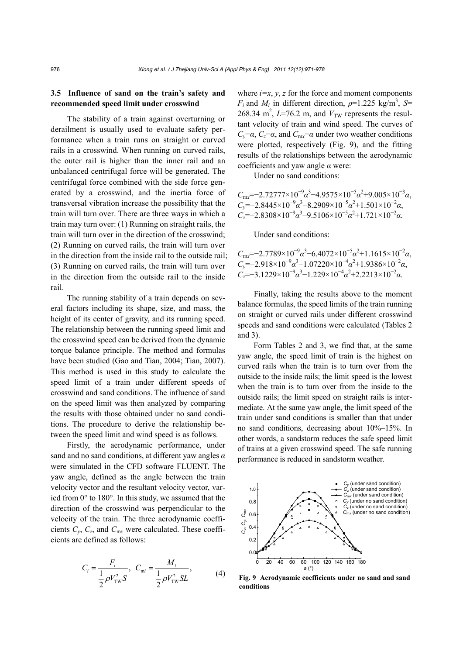# **3.5 Influence of sand on the train's safety and recommended speed limit under crosswind**

The stability of a train against overturning or derailment is usually used to evaluate safety performance when a train runs on straight or curved rails in a crosswind. When running on curved rails, the outer rail is higher than the inner rail and an unbalanced centrifugal force will be generated. The centrifugal force combined with the side force generated by a crosswind, and the inertia force of transversal vibration increase the possibility that the train will turn over. There are three ways in which a train may turn over: (1) Running on straight rails, the train will turn over in the direction of the crosswind; (2) Running on curved rails, the train will turn over in the direction from the inside rail to the outside rail; (3) Running on curved rails, the train will turn over in the direction from the outside rail to the inside rail.

The running stability of a train depends on several factors including its shape, size, and mass, the height of its center of gravity, and its running speed. The relationship between the running speed limit and the crosswind speed can be derived from the dynamic torque balance principle. The method and formulas have been studied (Gao and Tian, 2004; Tian, 2007). This method is used in this study to calculate the speed limit of a train under different speeds of crosswind and sand conditions. The influence of sand on the speed limit was then analyzed by comparing the results with those obtained under no sand conditions. The procedure to derive the relationship between the speed limit and wind speed is as follows.

Firstly, the aerodynamic performance, under sand and no sand conditions, at different yaw angles *α* were simulated in the CFD software FLUENT. The yaw angle, defined as the angle between the train velocity vector and the resultant velocity vector, varied from 0° to 180°. In this study, we assumed that the direction of the crosswind was perpendicular to the velocity of the train. The three aerodynamic coefficients  $C_v$ ,  $C_z$ , and  $C_{\text{mx}}$  were calculated. These coefficients are defined as follows:

$$
C_i = \frac{F_i}{\frac{1}{2}\rho V_{\text{TW}}^2 S}, \quad C_{\text{mi}} = \frac{M_i}{\frac{1}{2}\rho V_{\text{TW}}^2 SL}, \tag{4}
$$

where  $i=x$ ,  $y$ ,  $z$  for the force and moment components *F<sub>i</sub>* and *M<sub>i</sub>* in different direction,  $\rho$ =1.225 kg/m<sup>3</sup>, *S*= 268.34 m<sup>2</sup>,  $L=76.2$  m, and  $V<sub>TW</sub>$  represents the resultant velocity of train and wind speed. The curves of *C<sub>v</sub>*−*α*, *C<sub>z</sub>*−*α*, and *C*<sub>m*x*</sub>−*α* under two weather conditions were plotted, respectively (Fig. 9), and the fitting results of the relationships between the aerodynamic coefficients and yaw angle *α* were:

Under no sand conditions:

 $C_{\text{mx}}$ =−2.72777×10<sup>-9</sup>α<sup>3</sup>−4.9575×10<sup>-5</sup>α<sup>2</sup>+9.005×10<sup>-3</sup>α,  $C_y$ =−2.8445×10<sup>-9</sup> $\alpha^3$ −8.2909×10<sup>-5</sup> $\alpha^2$ +1.501×10<sup>-2</sup> $\alpha$ ,  $C_z$ =−2.8308×10<sup>-9</sup> $\alpha^3$ −9.5106×10<sup>-5</sup> $\alpha^2$ +1.721×10<sup>-2</sup> $\alpha$ .

Under sand conditions:

 $C_{\text{mx}}$ =−2.7789×10<sup>-9</sup> $\alpha^3$ −6.4072×10<sup>-5</sup> $\alpha^2$ +1.1615×10<sup>-2</sup> $\alpha$ ,  $C_y$ =−2.918×10<sup>-9</sup> $\alpha^3$ −1.07220×10<sup>-4</sup> $\alpha^2$ +1.9386×10<sup>-2</sup> $\alpha$ ,  $C_z$ =−3.1229×10<sup>-9</sup> $\alpha$ <sup>3</sup>−1.229×10<sup>-4</sup> $\alpha$ <sup>2</sup>+2.2213×10<sup>-2</sup> $\alpha$ .

Finally, taking the results above to the moment balance formulas, the speed limits of the train running on straight or curved rails under different crosswind speeds and sand conditions were calculated (Tables 2 and 3).

Form Tables 2 and 3, we find that, at the same yaw angle, the speed limit of train is the highest on curved rails when the train is to turn over from the outside to the inside rails; the limit speed is the lowest when the train is to turn over from the inside to the outside rails; the limit speed on straight rails is intermediate. At the same yaw angle, the limit speed of the train under sand conditions is smaller than that under no sand conditions, decreasing about 10%–15%. In other words, a sandstorm reduces the safe speed limit of trains at a given crosswind speed. The safe running performance is reduced in sandstorm weather.



**Fig. 9 Aerodynamic coefficients under no sand and sand conditions**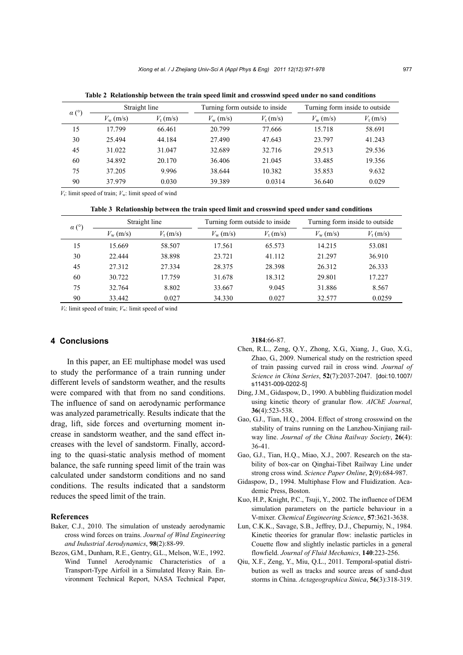| $\alpha$ (° | Straight line     |                   | Turning form outside to inside. |                   | Turning form inside to outside |                   |
|-------------|-------------------|-------------------|---------------------------------|-------------------|--------------------------------|-------------------|
|             | $V_{\rm w}$ (m/s) | $V_{\rm t}$ (m/s) | $V_{\rm w}$ (m/s)               | $V_{\rm t}$ (m/s) | $V_{\rm w}$ (m/s)              | $V_{\rm t}$ (m/s) |
| 15          | 17.799            | 66.461            | 20.799                          | 77.666            | 15.718                         | 58.691            |
| 30          | 25.494            | 44.184            | 27.490                          | 47.643            | 23.797                         | 41.243            |
| 45          | 31.022            | 31.047            | 32.689                          | 32.716            | 29.513                         | 29.536            |
| 60          | 34.892            | 20.170            | 36.406                          | 21.045            | 33.485                         | 19.356            |
| 75          | 37.205            | 9.996             | 38.644                          | 10.382            | 35.853                         | 9.632             |
| 90          | 37.979            | 0.030             | 39.389                          | 0.0314            | 36.640                         | 0.029             |

**Table 2 Relationship between the train speed limit and crosswind speed under no sand conditions**

 $V_t$ : limit speed of train;  $V_w$ : limit speed of wind

**Table 3 Relationship between the train speed limit and crosswind speed under sand conditions**

| (0)<br>$\alpha$ ( | Straight line     |                   | Turning form outside to inside. |                   | Turning form inside to outside |                   |
|-------------------|-------------------|-------------------|---------------------------------|-------------------|--------------------------------|-------------------|
|                   | $V_{\rm w}$ (m/s) | $V_{\rm t}$ (m/s) | $V_{\rm w}$ (m/s)               | $V_{\rm t}$ (m/s) | $V_{\rm w}$ (m/s)              | $V_{\rm t}$ (m/s) |
| 15                | 15.669            | 58.507            | 17.561                          | 65.573            | 14.215                         | 53.081            |
| 30                | 22.444            | 38.898            | 23.721                          | 41.112            | 21.297                         | 36.910            |
| 45                | 27.312            | 27.334            | 28.375                          | 28.398            | 26.312                         | 26.333            |
| 60                | 30.722            | 17.759            | 31.678                          | 18.312            | 29.801                         | 17.227            |
| 75                | 32.764            | 8.802             | 33.667                          | 9.045             | 31.886                         | 8.567             |
| 90                | 33.442            | 0.027             | 34.330                          | 0.027             | 32.577                         | 0.0259            |

*V*<sub>t</sub>: limit speed of train;  $V_w$ : limit speed of wind

# **4 Conclusions**

In this paper, an EE multiphase model was used to study the performance of a train running under different levels of sandstorm weather, and the results were compared with that from no sand conditions. The influence of sand on aerodynamic performance was analyzed parametrically. Results indicate that the drag, lift, side forces and overturning moment increase in sandstorm weather, and the sand effect increases with the level of sandstorm. Finally, according to the quasi-static analysis method of moment balance, the safe running speed limit of the train was calculated under sandstorm conditions and no sand conditions. The results indicated that a sandstorm reduces the speed limit of the train.

#### **References**

- Baker, C.J., 2010. The simulation of unsteady aerodynamic cross wind forces on trains. *Journal of Wind Engineering and Industrial Aerodynamics*, **98**(2):88-99.
- Bezos, G.M., Dunham, R.E., Gentry, G.L., Melson, W.E., 1992. Wind Tunnel Aerodynamic Characteristics of a Transport-Type Airfoil in a Simulated Heavy Rain. Environment Technical Report, NASA Technical Paper,

**3184**:66-87.

- Chen, R.L., Zeng, Q.Y., Zhong, X.G., Xiang, J., Guo, X.G., Zhao, G., 2009. Numerical study on the restriction speed of train passing curved rail in cross wind. *Journal of Science in China Series*, **52**(7):2037-2047. [doi:10.1007/ s11431-009-0202-5]
- Ding, J.M., Gidaspow, D., 1990. A bubbling fluidization model using kinetic theory of granular flow. *AIChE Journal*, **36**(4):523-538.
- Gao, G.J., Tian, H.Q., 2004. Effect of strong crosswind on the stability of trains running on the Lanzhou-Xinjiang railway line. *Journal of the China Railway Society*, **26**(4): 36-41.
- Gao, G.J., Tian, H.Q., Miao, X.J., 2007. Research on the stability of box-car on Qinghai-Tibet Railway Line under strong cross wind. *Science Paper Online*, **2**(9):684-987.
- Gidaspow, D., 1994. Multiphase Flow and Fluidization. Academic Press, Boston.
- Kuo, H.P., Knight, P.C., Tsuji, Y., 2002. The influence of DEM simulation parameters on the particle behaviour in a V-mixer. *Chemical Engineering Science*, **57**:3621-3638.
- Lun, C.K.K., Savage, S.B., Jeffrey, D.J., Chepurniy, N., 1984. Kinetic theories for granular flow: inelastic particles in Couette flow and slightly inelastic particles in a general flowfield. *Journal of Fluid Mechanics*, **140**:223-256.
- Qiu, X.F., Zeng, Y., Miu, Q.L., 2011. Temporal-spatial distribution as well as tracks and source areas of sand-dust storms in China. *Actageographica Sinica*, **56**(3):318-319.